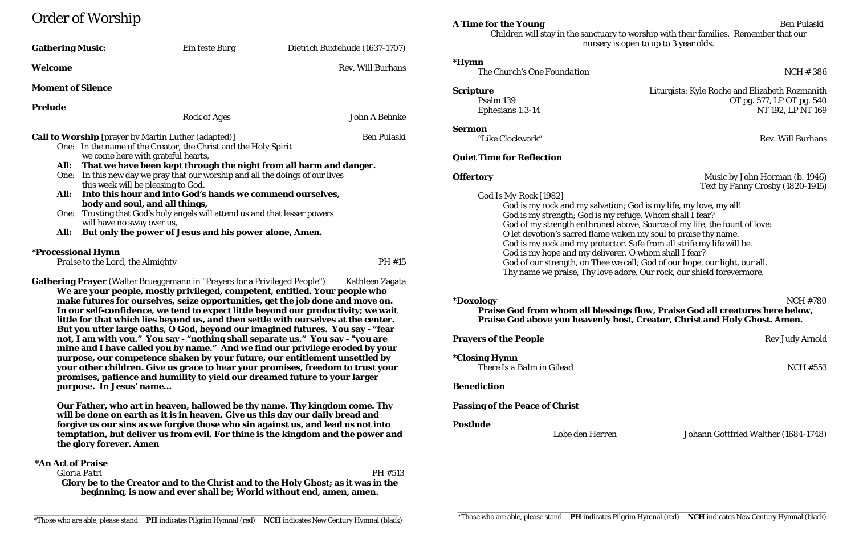# Order of Worship

# Music by John Horman (b. 1946) Text by Fanny Crosby (1820-1915)

| <b>Gathering Music:</b><br>Ein feste Burg                                                                                                                                                                       |                                                                                   | Dietrich Buxtehude (1637-1707)                                                                                                                                                                                                                                                                                                                                                                                                                 | $\frac{1}{2}$ and $\frac{1}{2}$ and $\frac{1}{2}$ are substantly to worlding with their funding $\frac{1}{2}$ , respectively that $\frac{1}{2}$<br>nursery is open to up to 3 year olds.                                                                                                               |                                                                                                                                                                               |
|-----------------------------------------------------------------------------------------------------------------------------------------------------------------------------------------------------------------|-----------------------------------------------------------------------------------|------------------------------------------------------------------------------------------------------------------------------------------------------------------------------------------------------------------------------------------------------------------------------------------------------------------------------------------------------------------------------------------------------------------------------------------------|--------------------------------------------------------------------------------------------------------------------------------------------------------------------------------------------------------------------------------------------------------------------------------------------------------|-------------------------------------------------------------------------------------------------------------------------------------------------------------------------------|
| Welcome                                                                                                                                                                                                         |                                                                                   | <b>Rev. Will Burhans</b>                                                                                                                                                                                                                                                                                                                                                                                                                       | <i><b>*Hymn</b></i><br>The Church's One Foundation                                                                                                                                                                                                                                                     | <b>NCH #386</b>                                                                                                                                                               |
| <b>Moment of Silence</b>                                                                                                                                                                                        |                                                                                   |                                                                                                                                                                                                                                                                                                                                                                                                                                                | <b>Scripture</b>                                                                                                                                                                                                                                                                                       | Liturgists: Kyle Roche and Elizabeth Rozmanith                                                                                                                                |
| Prelude                                                                                                                                                                                                         | <b>Rock of Ages</b>                                                               | <b>John A Behnke</b>                                                                                                                                                                                                                                                                                                                                                                                                                           | Psalm 139<br>Ephesians 1:3-14                                                                                                                                                                                                                                                                          | OT pg. 577, LP OT pg. 540<br>NT 192, LP NT 169                                                                                                                                |
| <b>Call to Worship</b> [prayer by Martin Luther (adapted)]<br><b>Ben Pulaski</b><br>One: In the name of the Creator, the Christ and the Holy Spirit                                                             |                                                                                   |                                                                                                                                                                                                                                                                                                                                                                                                                                                | <b>Sermon</b><br>"Like Clockwork"                                                                                                                                                                                                                                                                      | <b>Rev. Will Burhans</b>                                                                                                                                                      |
|                                                                                                                                                                                                                 | we come here with grateful hearts,                                                |                                                                                                                                                                                                                                                                                                                                                                                                                                                | <b>Quiet Time for Reflection</b>                                                                                                                                                                                                                                                                       |                                                                                                                                                                               |
| That we have been kept through the night from all harm and danger.<br>All:<br>In this new day we pray that our worship and all the doings of our lives<br>One:<br>this week will be pleasing to God.            |                                                                                   |                                                                                                                                                                                                                                                                                                                                                                                                                                                | <b>Offertory</b>                                                                                                                                                                                                                                                                                       | Music by John Horman (b. 1946)<br>Text by Fanny Crosby (1820-1915)                                                                                                            |
| Into this hour and into God's hands we commend ourselves,<br>All:<br>body and soul, and all things,<br>One: Trusting that God's holy angels will attend us and that lesser powers<br>will have no sway over us, |                                                                                   |                                                                                                                                                                                                                                                                                                                                                                                                                                                | God Is My Rock [1982]<br>God is my rock and my salvation; God is my life, my love, my all!<br>God is my strength; God is my refuge. Whom shall I fear?<br>God of my strength enthroned above, Source of my life, the fount of love:<br>O let devotion's sacred flame waken my soul to praise thy name. |                                                                                                                                                                               |
| But only the power of Jesus and his power alone, Amen.<br>All:                                                                                                                                                  |                                                                                   |                                                                                                                                                                                                                                                                                                                                                                                                                                                |                                                                                                                                                                                                                                                                                                        |                                                                                                                                                                               |
| <b>*Processional Hymn</b><br>Praise to the Lord, the Almighty                                                                                                                                                   |                                                                                   | PH #15                                                                                                                                                                                                                                                                                                                                                                                                                                         | God is my rock and my protector. Safe from all strife my life will be.<br>God is my hope and my deliverer. O whom shall I fear?<br>God of our strength, on Thee we call; God of our hope, our light, our all.<br>Thy name we praise, Thy love adore. Our rock, our shield forevermore.                 |                                                                                                                                                                               |
|                                                                                                                                                                                                                 | <b>Gathering Prayer</b> (Walter Brueggemann in "Prayers for a Privileged People") | Kathleen Zagata<br>We are your people, mostly privileged, competent, entitled. Your people who<br>make futures for ourselves, seize opportunities, get the job done and move on.<br>In our self-confidence, we tend to expect little beyond our productivity; we wait<br>little for that which lies beyond us, and then settle with ourselves at the center.<br>But you utter large oaths, O God, beyond our imagined futures. You say - "fear | <i><b>*Doxology</b></i>                                                                                                                                                                                                                                                                                | <b>NCH #780</b><br>Praise God from whom all blessings flow, Praise God all creatures here below,<br>Praise God above you heavenly host, Creator, Christ and Holy Ghost. Amen. |

**Prayers of the People** Rev Judy Arnold Rev Judy Arnold

**not, I am with you." You say - "nothing shall separate us." You say - "you are mine and I have called you by name." And we find our privilege eroded by your purpose, our competence shaken by your future, our entitlement unsettled by your other children. Give us grace to hear your promises, freedom to trust your promises, patience and humility to yield our dreamed future to your larger** 

# \***Doxology** NCH #780 flow, Praise God all creatures here below, **Creator, Christ and Holy Ghost. Amen.**

**purpose. In Jesus' name…**

**\*Closing Hymn** *There Is a Balm in Gilead* No. 2016 12:33

**Our Father, who art in heaven, hallowed be thy name. Thy kingdom come. Thy will be done on earth as it is in heaven. Give us this day our daily bread and forgive us our sins as we forgive those who sin against us, and lead us not into temptation, but deliver us from evil. For thine is the kingdom and the power and** 

**the glory forever. Amen**

**\*An Act of Praise** *Gloria Patri* PH #513 **Glory be to the Creator and to the Christ and to the Holy Ghost; as it was in the beginning, is now and ever shall be; World without end, amen, amen.**

## **Benediction**

## **Passing of the Peace of Christ**

**Postlude**

# *Lobe den Herren* Johann Gottfried Walther (1684-1748)

## **A Time for the Young** Ben Pulaski Children will stay in the sanctuary to worship with their families. Remember that our en to up to 3 year olds.

# Liturgists: Kyle Roche and Elizabeth Rozmanith OT pg. 577, LP OT pg. 540 NT 192, LP NT 169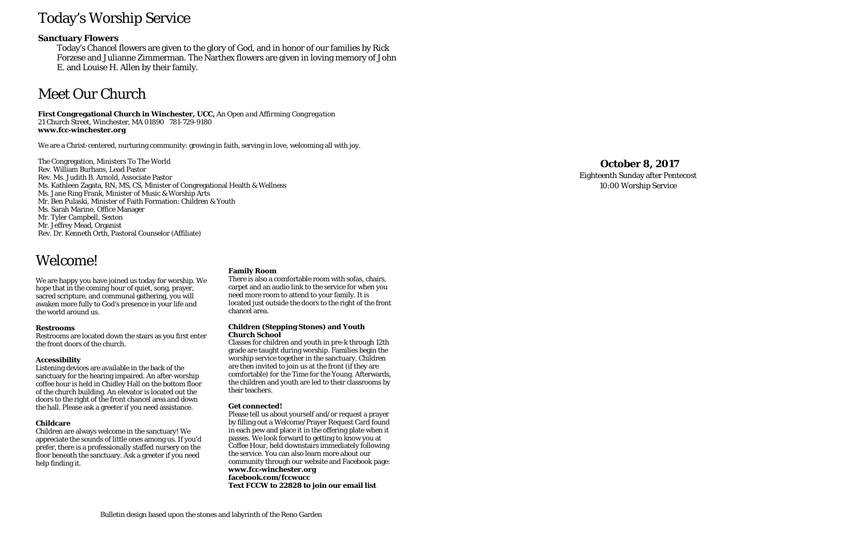# Today's Worship Service

# **Sanctuary Flowers**

Today's Chancel flowers are given to the glory of God, and in honor of our families by Rick Forzese and Julianne Zimmerman. The Narthex flowers are given in loving memory of John E. and Louise H. Allen by their family.

# Meet Our Church

**First Congregational Church in Winchester, UCC,** *An Open and Affirming Congregation* 21 Church Street, Winchester, MA 01890 781-729-9180 **www.fcc -winchester.org**

We are a Christ-centered, nurturing community: growing in faith, serving in love, welcoming all with joy.

The Congregation, Ministers To The World Rev. William Burhans, Lead Pastor Rev. Ms. Judith B. Arnold, Associate Pastor Ms. Kathleen Zagata, RN, MS, CS, Minister of Congregational Health & Wellness Ms. Jane Ring Frank, Minister of Music & Worship Arts Mr. Ben Pulaski, Minister of Faith Formation: Children & Youth Ms. Sarah Marino, Office Manager Mr. Tyler Campbell, Sexton Mr. Jeffrey Mead, Organist Rev. Dr. Kenneth Orth, Pastoral Counselor (Affiliate)

# **October 8 , 2017**

Eighteenth Sunday after Pentecost 10:00 Worship Service

# Welcome!

We are happy you have joined us today for worship. We hope that in the coming hour of quiet, song, prayer, sacred scripture, and communal gathering, you will awaken more fully to God's presence in your life and the world around us.

## **Restrooms**

Restrooms are located down the stairs as you first enter the front doors of the church.

## **Accessibility**

Listening devices are available in the back of the sanctuary for the hearing impaired. An after-worship coffee hour is held in Chidley Hall on the bottom floor of the church building. An elevator is located out the doors to the right of the front chancel area and down the hall. Please ask a greeter if you need assistance.

# **Childcare**

Children are always welcome in the sanctuary! We appreciate the sounds of little ones among us. If you'd prefer, there is a professionally staffed nursery on the floor beneath the sanctuary. Ask a greeter if you need help finding it.

### **Family Room**

There is also a comfortable room with sofas, chairs, carpet and an audio link to the service for when you need more room to attend to your family. It is located just outside the doors to the right of the front chancel area.

### **Children (Stepping Stones) and Youth Church School**

Classes for children and youth in pre-k through 12th grade are taught during worship. Families begin the worship service together in the sanctuary. Children are then invited to join us at the front (if they are comfortable) for the Time for the Young. Afterwards, the children and youth are led to their classrooms by their teachers.

## **Get connected!**

Please tell us about yourself and/or request a prayer by filling out a Welcome/Prayer Request Card found in each pew and place it in the offering plate when it passes. We look forward to getting to know you at Coffee Hour, held downstairs immediately following the service. You can also learn more about our community through our website and Facebook page: **www.fcc -winchester.org facebook.com/fccwucc**

**Text FCCW to 22828 to join our email list**